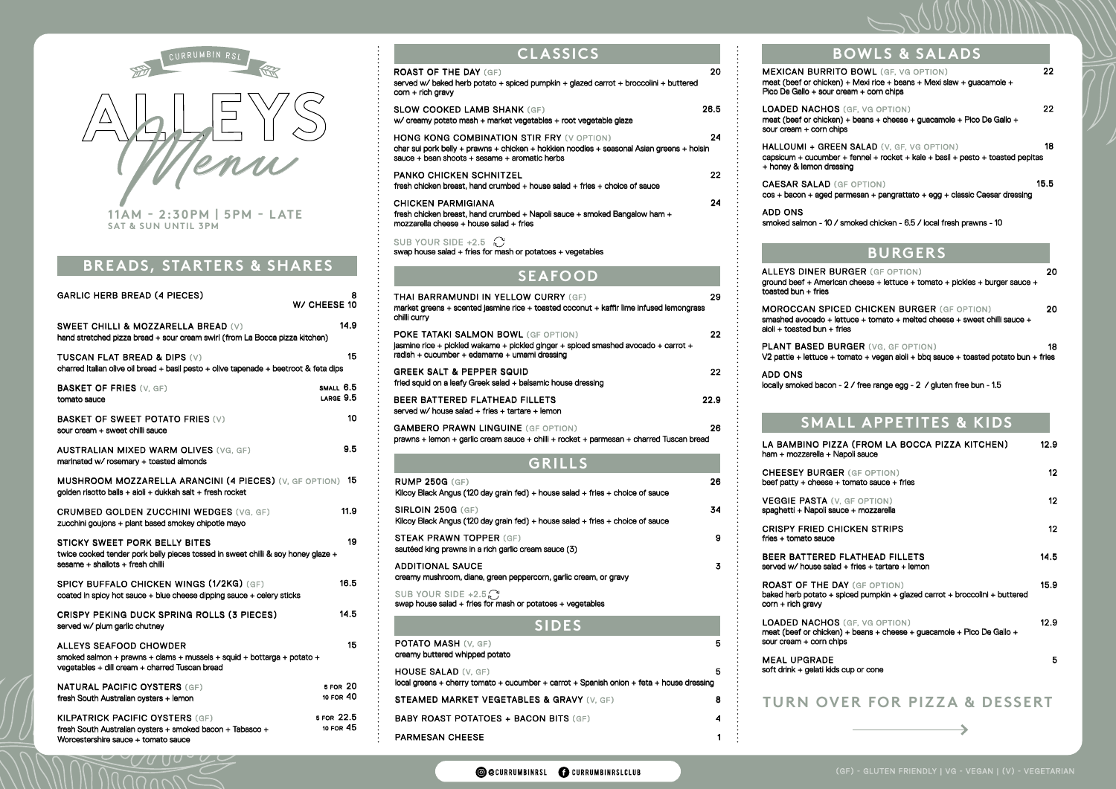### **BURGERS**

4

1

**OCURRUMBINRSL** CURRUMBINRSLCLUB

#### **BREADS, STARTERS & SHARES**

| <b>BOWLS &amp; SALADS</b>                                                                                                                                      |      |
|----------------------------------------------------------------------------------------------------------------------------------------------------------------|------|
| <b>MEXICAN BURRITO BOWL</b> (GF, VG OPTION)<br>meat (beef or chicken) + Mexi rice + beans + Mexi slaw + guacamole +<br>Pico De Gallo + sour cream + corn chips | 22   |
| LOADED NACHOS (GF. VG OPTION)<br>meat (beef or chicken) + beans + cheese + guacamole + Pico De Gallo +<br>sour cream + corn chips                              | 22   |
| <b>HALLOUMI + GREEN SALAD</b> (V. GF. VG OPTION)<br>capsicum + cucumber + fennel + rocket + kale + basil + pesto + toasted pepitas<br>+ honey & lemon dressing | 18   |
| <b>CAESAR SALAD</b> (GF OPTION)<br>cos + bacon + aged parmesan + pangrattato + egg + classic Caesar dressing                                                   | 15.5 |

#### **SMALL APPETITES & KIDS**

#### **SEAFOOD**

### **GRILLS**

fries + tomato sauce **CRISPY FRIED CHI** 

served w/ house salad BEER BATTERED F

baked herb potato + spi corn + rich gravy ROAST OF THE DAY

meat (beef or chicken) sour cream + corn chips LOADED NACHOS

## **ALLEYS DINER BUF**

BABY ROAST POTATOES + BACON BITS (GF)

PARMESAN CHEESE

soft drink  $+$  gelati kids  $c$ MEAL UPGRADE

#### **TURN OVER FOR PIZZA & DESSERT**

| <b>RUMP 250G (GF)</b><br>Kilcoy Black Angus (120 day grain fed) + house salad + fries + choice of sauce                | 26 |
|------------------------------------------------------------------------------------------------------------------------|----|
| <b>SIRLOIN 250G (GF)</b><br>Kilcoy Black Angus (120 day grain fed) $+$ house salad $+$ fries $+$ choice of sauce       | 34 |
| <b>STEAK PRAWN TOPPER (GF)</b><br>sautéed king prawns in a rich garlic cream sauce (3)                                 | 9  |
| <b>ADDITIONAL SAUCE</b><br>creamy mushroom, diane, green peppercorn, garlic cream, or gravy                            | 3  |
| SUB YOUR SIDE +2.5 $\bigcap$<br>swap house salad + fries for mash or potatoes + vegetables                             |    |
| <b>SIDES</b>                                                                                                           |    |
| <b>POTATO MASH (V, GF)</b><br>creamy buttered whipped potato                                                           | 5  |
| <b>HOUSE SALAD (V. GF)</b><br>local greens + cherry tomato + cucumber + carrot + Spanish onion + feta + house dressing | 5  |
| STEAMED MARKET VEGETABLES & GRAVY (V, GF)                                                                              | 8  |

ground beef + American toasted bun + fries

MOROCCAN SPICE smashed avocado + lett  $a$ ioli + toasted bun + frie

PLANT BASED BUR  $V2$  pattie + lettuce + to

| <b>GARLIC HERB BREAD (4 PIECES)</b>                                                                                                                   | 8<br>W/ CHEESE 10       |
|-------------------------------------------------------------------------------------------------------------------------------------------------------|-------------------------|
| <b>SWEET CHILLI &amp; MOZZARELLA BREAD (V)</b><br>hand stretched pizza bread + sour cream swirl (from La Bocca pizza kitchen)                         | 14.9                    |
| TUSCAN FLAT BREAD & DIPS (V)<br>charred Italian olive oil bread + basil pesto + olive tapenade + beetroot & feta dips                                 | 15                      |
| <b>BASKET OF FRIES (V. GF)</b><br>tomato sauce                                                                                                        | SMALL 6.5<br>LARGE 9.5  |
| <b>BASKET OF SWEET POTATO FRIES (V)</b><br>sour cream + sweet chilli sauce                                                                            | 10                      |
| <b>AUSTRALIAN MIXED WARM OLIVES</b> (VG. GF)<br>marinated w/ rosemary + toasted almonds                                                               | 9.5                     |
| MUSHROOM MOZZARELLA ARANCINI (4 PIECES) (V, GF OPTION) 15<br>golden risotto balls + aioli + dukkah salt + fresh rocket                                |                         |
| <b>CRUMBED GOLDEN ZUCCHINI WEDGES (VG, GF)</b><br>zucchini goujons + plant based smokey chipotle mayo                                                 | 11.9                    |
| STICKY SWEET PORK BELLY BITES<br>twice cooked tender pork belly pieces tossed in sweet chilli & soy honey glaze +<br>sesame + shallots + fresh chilli | 19                      |
| SPICY BUFFALO CHICKEN WINGS (1/2KG) (GF)<br>coated in spicy hot sauce + blue cheese dipping sauce + celery sticks                                     | 16.5                    |
| <b>CRISPY PEKING DUCK SPRING ROLLS (3 PIECES)</b><br>served w/ plum garlic chutney                                                                    | 14.5                    |
| ALLEYS SEAFOOD CHOWDER<br>smoked salmon + prawns + clams + mussels + squid + bottarga + potato +<br>vegetables + dill cream + charred Tuscan bread    | 15                      |
| <b>NATURAL PACIFIC OYSTERS (GF)</b><br>fresh South Australian oysters + lemon                                                                         | 5 FOR 20<br>10 FOR 40   |
| <b>KILPATRICK PACIFIC OYSTERS (GF)</b><br>fresh South Australian oysters + smoked bacon + Tabasco +                                                   | 5 FOR 22.5<br>10 FOR 45 |

| A (FROM LA BOCCA PIZZA KITCHEN)<br>poli sauce                          | 12.9 |
|------------------------------------------------------------------------|------|
| (GF OPTION)<br>tomato sauce + fries                                    | 12   |
| <b>GF OPTION</b><br>xe + mozzarella                                    | 12   |
| CKEN STRIPS                                                            | 12   |
| <b>LATHEAD FILLETS</b><br>+ fries + tartare + lemon                    | 14.5 |
| Y (GF OPTION)<br>iced pumpkin + glazed carrot + broccolini + buttered  | 15.9 |
| (GF. VG OPTION)<br>+ beans + cheese + guacamole + Pico De Gallo +<br>S | 12.9 |
| cup or cone                                                            | 5    |
|                                                                        |      |

| CURRUMBIN RSI                                                            | <b>CLASSICS</b>                                                                                                                                                                                                                                                                                                                                                                                                                                                                                                                                                                                             |                        | <b>BOWLS &amp; SALADS</b>                                                                                                                                                                                                                                                                                                                                                                                                                                                                     |
|--------------------------------------------------------------------------|-------------------------------------------------------------------------------------------------------------------------------------------------------------------------------------------------------------------------------------------------------------------------------------------------------------------------------------------------------------------------------------------------------------------------------------------------------------------------------------------------------------------------------------------------------------------------------------------------------------|------------------------|-----------------------------------------------------------------------------------------------------------------------------------------------------------------------------------------------------------------------------------------------------------------------------------------------------------------------------------------------------------------------------------------------------------------------------------------------------------------------------------------------|
|                                                                          | <b>ROAST OF THE DAY (GF)</b><br>served w/ baked herb potato + spiced pumpkin + glazed carrot + broccolini + buttered<br>$corr + rich$ gravy                                                                                                                                                                                                                                                                                                                                                                                                                                                                 | 20                     | <b>MEXICAN BURRITO BOWL (GF, VG OPTION)</b><br>meat (beef or chicken) + Mexi rice + beans + Mexi slaw + guacamole +<br>Pico De Gallo + sour cream + corn chips                                                                                                                                                                                                                                                                                                                                |
| ensu<br><b>IAM - 2:30PM   5PM - LATE</b><br><b>T &amp; SUN UNTIL 3PM</b> | <b>SLOW COOKED LAMB SHANK (GF)</b><br>w/ creamy potato mash + market vegetables + root vegetable glaze<br><b>HONG KONG COMBINATION STIR FRY (V OPTION)</b><br>char sui pork belly + prawns + chicken + hokkien noodles + seasonal Asian greens + hoisin<br>sauce $+$ bean shoots $+$ sesame $+$ aromatic herbs<br><b>PANKO CHICKEN SCHNITZEL</b><br>fresh chicken breast, hand crumbed + house salad + fries + choice of sauce<br><b>CHICKEN PARMIGIANA</b><br>fresh chicken breast, hand crumbed + Napoli sauce + smoked Bangalow ham +<br>$mozzarella$ cheese + house salad + fries<br>SUB YOUR SIDE +2.5 | 26.5<br>24<br>22<br>24 | <b>LOADED NACHOS (GF, VG OPTION)</b><br>meat (beef or chicken) + beans + cheese + guacamole + Pico De Gallo<br>sour cream + corn chips<br><b>HALLOUMI + GREEN SALAD (V, GF, VG OPTION)</b><br>capsicum + cucumber + fennel + rocket + kale + basil + pesto + toasted<br>+ honey & lemon dressing<br><b>CAESAR SALAD (GF OPTION)</b><br>cos + bacon + aged parmesan + pangrattato + egg + classic Caesar dre<br>ADD ONS<br>smoked salmon - 10 / smoked chicken - 6.5 / local fresh prawns - 10 |
| ADS, STARTERS & SHARES                                                   | swap house salad + fries for mash or potatoes + vegetables                                                                                                                                                                                                                                                                                                                                                                                                                                                                                                                                                  |                        | <b>BURGERS</b><br>$\blacksquare$                                                                                                                                                                                                                                                                                                                                                                                                                                                              |



Worcestershire sauce + tomato sauce

( / ( / ( ) ( )

ADD ONS

ham + mozzarella + Nap LA BAMBINO PIZZA

beef patty + cheese  $+$ **CHEESEY BURGER** 

spaghetti + Napoli sauc VEGGIE PASTA (V,

| RGER (GF OPTION)<br>n cheese + lettuce + tomato + pickles + burger sauce +                          | 20. |
|-----------------------------------------------------------------------------------------------------|-----|
| E <b>D CHICKEN BURGER</b> (GF OPTION)<br>tuce + tomato + melted cheese + sweet chilli sauce +<br>es | 20. |
| $\mathsf{RGER}$ (VG, GF OPTION)<br>omato + vegan aioli + bbq sauce + toasted potato bun + fries     | 18  |

locally smoked bacon - 2 / free range egg - 2 / gluten free bun - 1.5

| <b>THAI BARRAMUNDI IN YELLOW CURRY (GF)</b><br>market greens + scented jasmine rice + toasted coconut + kaffir lime infused lemongrass<br>chilli curry                           | 29   |
|----------------------------------------------------------------------------------------------------------------------------------------------------------------------------------|------|
| <b>POKE TATAKI SALMON BOWL (GF OPTION)</b><br>jasmine rice + pickled wakame + pickled ginger + spiced smashed avocado + carrot +<br>radish + cucumber + edamame + umami dressing | 22   |
| <b>GREEK SALT &amp; PEPPER SQUID</b><br>fried squid on a leafy Greek salad + balsamic house dressing                                                                             | 22   |
| BEER BATTERED FLATHEAD FILLETS<br>served w/ house salad + fries + tartare + lemon                                                                                                | 22.9 |
| <b>GAMBERO PRAWN LINGUINE (GF OPTION)</b>                                                                                                                                        | 26   |

| GAMBERO PRAWN LINGUINE (GF OPTION).                                                     |  |  |
|-----------------------------------------------------------------------------------------|--|--|
| prawns + lemon + garlic cream sauce + chilli + rocket + parmesan + charred Tuscan bread |  |  |